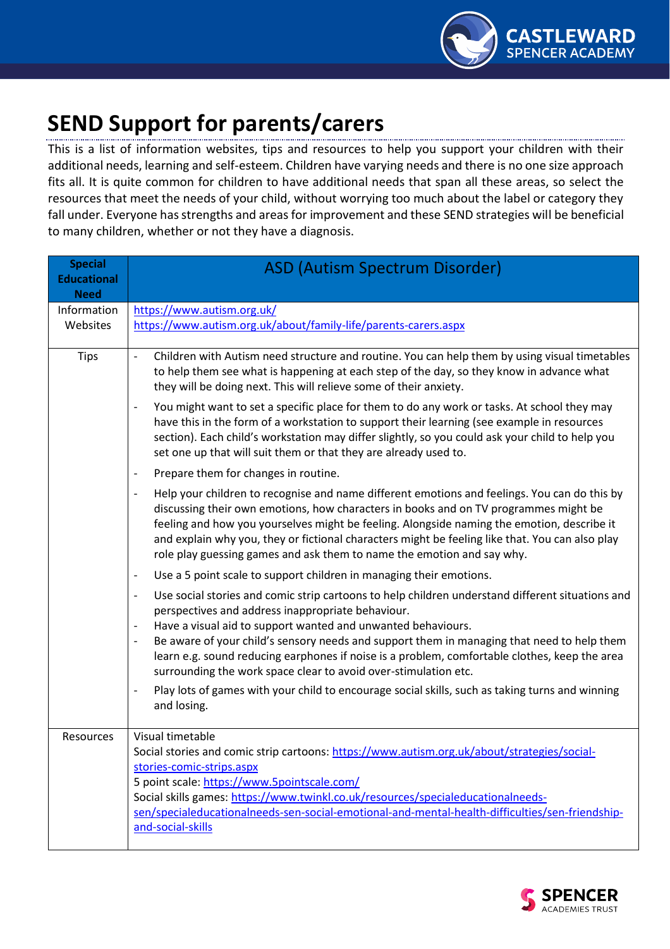

## **SEND Support for parents/carers**

This is a list of information websites, tips and resources to help you support your children with their additional needs, learning and self-esteem. Children have varying needs and there is no one size approach fits all. It is quite common for children to have additional needs that span all these areas, so select the resources that meet the needs of your child, without worrying too much about the label or category they fall under. Everyone has strengths and areas for improvement and these SEND strategies will be beneficial to many children, whether or not they have a diagnosis.

| <b>Special</b><br><b>Educational</b><br><b>Need</b> | <b>ASD (Autism Spectrum Disorder)</b>                                                                                                                                                                                                                                                                                                                                                                                                                                                                                                                                       |
|-----------------------------------------------------|-----------------------------------------------------------------------------------------------------------------------------------------------------------------------------------------------------------------------------------------------------------------------------------------------------------------------------------------------------------------------------------------------------------------------------------------------------------------------------------------------------------------------------------------------------------------------------|
| Information<br>Websites                             | https://www.autism.org.uk/<br>https://www.autism.org.uk/about/family-life/parents-carers.aspx                                                                                                                                                                                                                                                                                                                                                                                                                                                                               |
| <b>Tips</b>                                         | Children with Autism need structure and routine. You can help them by using visual timetables<br>$\overline{\phantom{a}}$<br>to help them see what is happening at each step of the day, so they know in advance what<br>they will be doing next. This will relieve some of their anxiety.                                                                                                                                                                                                                                                                                  |
|                                                     | You might want to set a specific place for them to do any work or tasks. At school they may<br>$\overline{\phantom{a}}$<br>have this in the form of a workstation to support their learning (see example in resources<br>section). Each child's workstation may differ slightly, so you could ask your child to help you<br>set one up that will suit them or that they are already used to.                                                                                                                                                                                |
|                                                     | Prepare them for changes in routine.<br>$\qquad \qquad -$                                                                                                                                                                                                                                                                                                                                                                                                                                                                                                                   |
|                                                     | Help your children to recognise and name different emotions and feelings. You can do this by<br>$\overline{\phantom{a}}$<br>discussing their own emotions, how characters in books and on TV programmes might be<br>feeling and how you yourselves might be feeling. Alongside naming the emotion, describe it<br>and explain why you, they or fictional characters might be feeling like that. You can also play<br>role play guessing games and ask them to name the emotion and say why.                                                                                 |
|                                                     | Use a 5 point scale to support children in managing their emotions.<br>$\overline{\phantom{a}}$                                                                                                                                                                                                                                                                                                                                                                                                                                                                             |
|                                                     | Use social stories and comic strip cartoons to help children understand different situations and<br>$\overline{\phantom{a}}$<br>perspectives and address inappropriate behaviour.<br>Have a visual aid to support wanted and unwanted behaviours.<br>$\overline{\phantom{a}}$<br>Be aware of your child's sensory needs and support them in managing that need to help them<br>$\overline{\phantom{a}}$<br>learn e.g. sound reducing earphones if noise is a problem, comfortable clothes, keep the area<br>surrounding the work space clear to avoid over-stimulation etc. |
|                                                     | Play lots of games with your child to encourage social skills, such as taking turns and winning<br>$\overline{\phantom{a}}$<br>and losing.                                                                                                                                                                                                                                                                                                                                                                                                                                  |
| Resources                                           | Visual timetable                                                                                                                                                                                                                                                                                                                                                                                                                                                                                                                                                            |
|                                                     | Social stories and comic strip cartoons: https://www.autism.org.uk/about/strategies/social-<br>stories-comic-strips.aspx                                                                                                                                                                                                                                                                                                                                                                                                                                                    |
|                                                     | 5 point scale: https://www.5pointscale.com/                                                                                                                                                                                                                                                                                                                                                                                                                                                                                                                                 |
|                                                     | Social skills games: https://www.twinkl.co.uk/resources/specialeducationalneeds-<br>sen/specialeducationalneeds-sen-social-emotional-and-mental-health-difficulties/sen-friendship-<br>and-social-skills                                                                                                                                                                                                                                                                                                                                                                    |

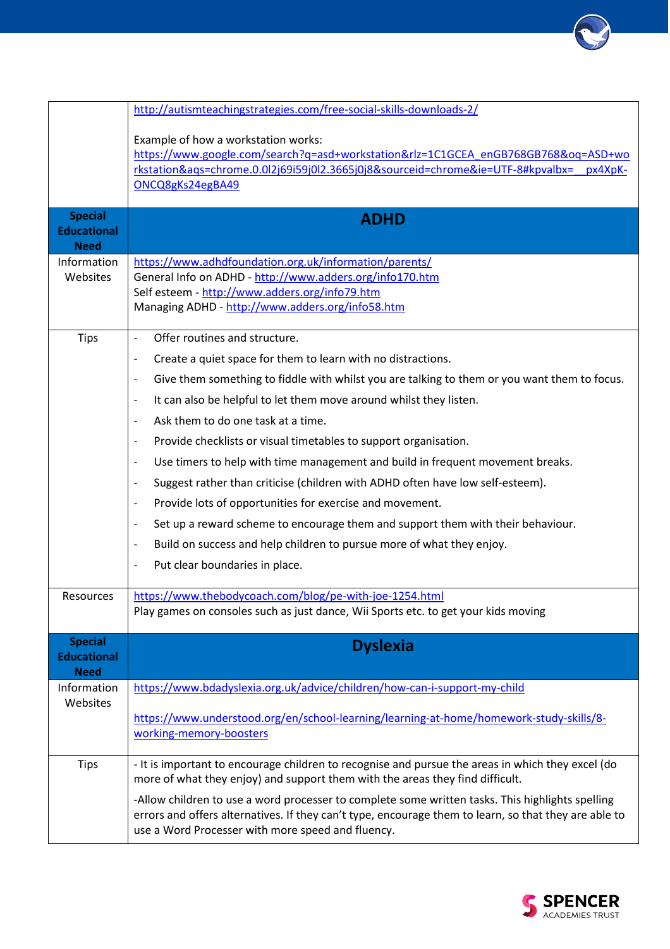

|                                                     | http://autismteachingstrategies.com/free-social-skills-downloads-2/                                                                                                                                                                                            |
|-----------------------------------------------------|----------------------------------------------------------------------------------------------------------------------------------------------------------------------------------------------------------------------------------------------------------------|
|                                                     | Example of how a workstation works:<br>https://www.google.com/search?q=asd+workstation&rlz=1C1GCEA_enGB768GB768&oq=ASD+wo<br>rkstation&ags=chrome.0.0l2j69i59j0l2.3665j0j8&sourceid=chrome&ie=UTF-8#kpvalbx=<br>px4XpK-<br>ONCQ8gKs24egBA49                    |
| <b>Special</b><br><b>Educational</b><br><b>Need</b> | <b>ADHD</b>                                                                                                                                                                                                                                                    |
| Information<br>Websites                             | https://www.adhdfoundation.org.uk/information/parents/<br>General Info on ADHD - http://www.adders.org/info170.htm<br>Self esteem - http://www.adders.org/info79.htm<br>Managing ADHD - http://www.adders.org/info58.htm                                       |
| <b>Tips</b>                                         | Offer routines and structure.<br>$\overline{\phantom{0}}$                                                                                                                                                                                                      |
|                                                     | Create a quiet space for them to learn with no distractions.<br>$\qquad \qquad \blacksquare$                                                                                                                                                                   |
|                                                     | Give them something to fiddle with whilst you are talking to them or you want them to focus.<br>$\overline{\phantom{a}}$                                                                                                                                       |
|                                                     | It can also be helpful to let them move around whilst they listen.<br>$\overline{\phantom{0}}$                                                                                                                                                                 |
|                                                     | Ask them to do one task at a time.<br>$\qquad \qquad -$                                                                                                                                                                                                        |
|                                                     | Provide checklists or visual timetables to support organisation.<br>$\qquad \qquad \blacksquare$                                                                                                                                                               |
|                                                     | Use timers to help with time management and build in frequent movement breaks.<br>-                                                                                                                                                                            |
|                                                     | Suggest rather than criticise (children with ADHD often have low self-esteem).<br>$\qquad \qquad \blacksquare$                                                                                                                                                 |
|                                                     | Provide lots of opportunities for exercise and movement.<br>$\overline{\phantom{0}}$                                                                                                                                                                           |
|                                                     | Set up a reward scheme to encourage them and support them with their behaviour.<br>$\qquad \qquad \blacksquare$                                                                                                                                                |
|                                                     | Build on success and help children to pursue more of what they enjoy.<br>$\overline{\phantom{0}}$                                                                                                                                                              |
|                                                     | Put clear boundaries in place.<br>$\qquad \qquad \blacksquare$                                                                                                                                                                                                 |
| Resources                                           | https://www.thebodycoach.com/blog/pe-with-joe-1254.html<br>Play games on consoles such as just dance, Wii Sports etc. to get your kids moving                                                                                                                  |
| <b>Special</b><br><b>Educational</b><br><b>Need</b> | <b>Dyslexia</b>                                                                                                                                                                                                                                                |
| Information                                         | https://www.bdadyslexia.org.uk/advice/children/how-can-i-support-my-child                                                                                                                                                                                      |
| Websites                                            | https://www.understood.org/en/school-learning/learning-at-home/homework-study-skills/8-<br>working-memory-boosters                                                                                                                                             |
| <b>Tips</b>                                         | - It is important to encourage children to recognise and pursue the areas in which they excel (do<br>more of what they enjoy) and support them with the areas they find difficult.                                                                             |
|                                                     | -Allow children to use a word processer to complete some written tasks. This highlights spelling<br>errors and offers alternatives. If they can't type, encourage them to learn, so that they are able to<br>use a Word Processer with more speed and fluency. |

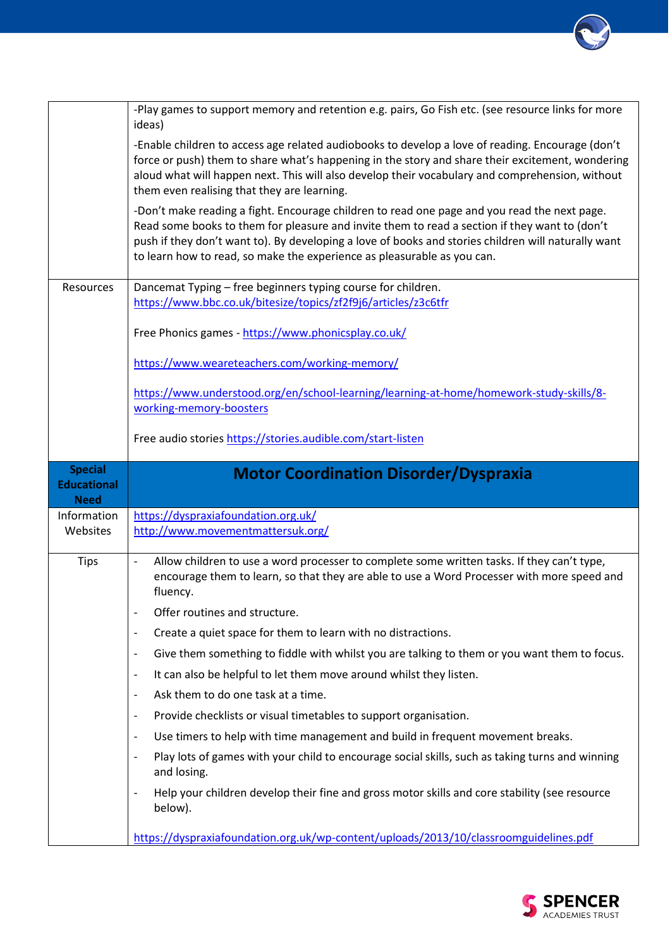

|                                   | -Play games to support memory and retention e.g. pairs, Go Fish etc. (see resource links for more<br>ideas)                                                                                                                                                                                                                                                                     |
|-----------------------------------|---------------------------------------------------------------------------------------------------------------------------------------------------------------------------------------------------------------------------------------------------------------------------------------------------------------------------------------------------------------------------------|
|                                   | -Enable children to access age related audiobooks to develop a love of reading. Encourage (don't<br>force or push) them to share what's happening in the story and share their excitement, wondering<br>aloud what will happen next. This will also develop their vocabulary and comprehension, without<br>them even realising that they are learning.                          |
|                                   | -Don't make reading a fight. Encourage children to read one page and you read the next page.<br>Read some books to them for pleasure and invite them to read a section if they want to (don't<br>push if they don't want to). By developing a love of books and stories children will naturally want<br>to learn how to read, so make the experience as pleasurable as you can. |
| Resources                         | Dancemat Typing - free beginners typing course for children.<br>https://www.bbc.co.uk/bitesize/topics/zf2f9j6/articles/z3c6tfr                                                                                                                                                                                                                                                  |
|                                   | Free Phonics games - https://www.phonicsplay.co.uk/                                                                                                                                                                                                                                                                                                                             |
|                                   | https://www.weareteachers.com/working-memory/                                                                                                                                                                                                                                                                                                                                   |
|                                   | https://www.understood.org/en/school-learning/learning-at-home/homework-study-skills/8-<br>working-memory-boosters                                                                                                                                                                                                                                                              |
|                                   | Free audio stories https://stories.audible.com/start-listen                                                                                                                                                                                                                                                                                                                     |
| <b>Special</b>                    |                                                                                                                                                                                                                                                                                                                                                                                 |
| <b>Educational</b><br><b>Need</b> | <b>Motor Coordination Disorder/Dyspraxia</b>                                                                                                                                                                                                                                                                                                                                    |
| Information<br>Websites           | https://dyspraxiafoundation.org.uk/<br>http://www.movementmattersuk.org/                                                                                                                                                                                                                                                                                                        |
| <b>Tips</b>                       | Allow children to use a word processer to complete some written tasks. If they can't type,<br>$\overline{\phantom{a}}$<br>encourage them to learn, so that they are able to use a Word Processer with more speed and<br>fluency.                                                                                                                                                |
|                                   | Offer routines and structure.                                                                                                                                                                                                                                                                                                                                                   |
|                                   | Create a quiet space for them to learn with no distractions.<br>-                                                                                                                                                                                                                                                                                                               |
|                                   | Give them something to fiddle with whilst you are talking to them or you want them to focus.<br>-                                                                                                                                                                                                                                                                               |
|                                   | It can also be helpful to let them move around whilst they listen.<br>$\overline{\phantom{a}}$                                                                                                                                                                                                                                                                                  |
|                                   | Ask them to do one task at a time.<br>$\overline{\phantom{a}}$                                                                                                                                                                                                                                                                                                                  |
|                                   | Provide checklists or visual timetables to support organisation.<br>$\overline{\phantom{a}}$                                                                                                                                                                                                                                                                                    |
|                                   | Use timers to help with time management and build in frequent movement breaks.<br>$\overline{\phantom{a}}$                                                                                                                                                                                                                                                                      |
|                                   | Play lots of games with your child to encourage social skills, such as taking turns and winning<br>$\overline{\phantom{a}}$<br>and losing.                                                                                                                                                                                                                                      |
|                                   | Help your children develop their fine and gross motor skills and core stability (see resource<br>below).                                                                                                                                                                                                                                                                        |

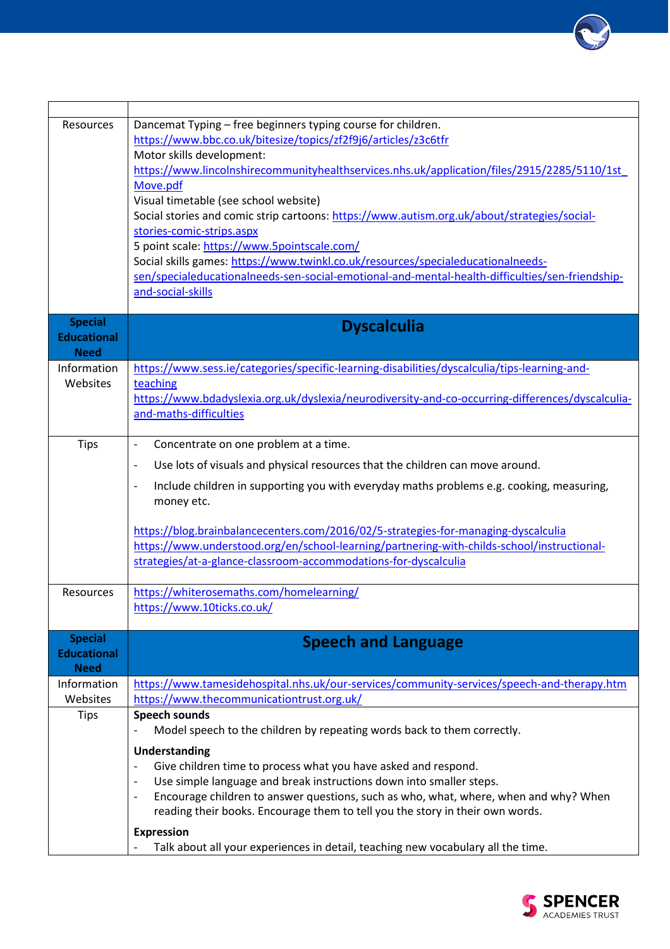

| Resources                                           | Dancemat Typing - free beginners typing course for children.<br>https://www.bbc.co.uk/bitesize/topics/zf2f9j6/articles/z3c6tfr<br>Motor skills development:<br>https://www.lincolnshirecommunityhealthservices.nhs.uk/application/files/2915/2285/5110/1st                                                       |
|-----------------------------------------------------|------------------------------------------------------------------------------------------------------------------------------------------------------------------------------------------------------------------------------------------------------------------------------------------------------------------|
|                                                     | Move.pdf<br>Visual timetable (see school website)<br>Social stories and comic strip cartoons: https://www.autism.org.uk/about/strategies/social-<br>stories-comic-strips.aspx<br>5 point scale: https://www.5pointscale.com/<br>Social skills games: https://www.twinkl.co.uk/resources/specialeducationalneeds- |
|                                                     | sen/specialeducationalneeds-sen-social-emotional-and-mental-health-difficulties/sen-friendship-<br>and-social-skills                                                                                                                                                                                             |
| <b>Special</b><br><b>Educational</b><br><b>Need</b> | <b>Dyscalculia</b>                                                                                                                                                                                                                                                                                               |
| Information                                         | https://www.sess.ie/categories/specific-learning-disabilities/dyscalculia/tips-learning-and-                                                                                                                                                                                                                     |
| Websites                                            | teaching<br>https://www.bdadyslexia.org.uk/dyslexia/neurodiversity-and-co-occurring-differences/dyscalculia-<br>and-maths-difficulties                                                                                                                                                                           |
| <b>Tips</b>                                         | Concentrate on one problem at a time.<br>$\overline{\phantom{a}}$                                                                                                                                                                                                                                                |
|                                                     | Use lots of visuals and physical resources that the children can move around.<br>$\overline{\phantom{a}}$                                                                                                                                                                                                        |
|                                                     | Include children in supporting you with everyday maths problems e.g. cooking, measuring,<br>$\overline{\phantom{a}}$<br>money etc.                                                                                                                                                                               |
|                                                     | https://blog.brainbalancecenters.com/2016/02/5-strategies-for-managing-dyscalculia<br>https://www.understood.org/en/school-learning/partnering-with-childs-school/instructional-<br>strategies/at-a-glance-classroom-accommodations-for-dyscalculia                                                              |
| <b>Resources</b>                                    | https://whiterosemaths.com/homelearning/<br>https://www.10ticks.co.uk/                                                                                                                                                                                                                                           |
| <b>Special</b><br><b>Educational</b><br><b>Need</b> | <b>Speech and Language</b>                                                                                                                                                                                                                                                                                       |
| Information                                         | https://www.tamesidehospital.nhs.uk/our-services/community-services/speech-and-therapy.htm                                                                                                                                                                                                                       |
| Websites                                            | https://www.thecommunicationtrust.org.uk/                                                                                                                                                                                                                                                                        |
| <b>Tips</b>                                         | <b>Speech sounds</b><br>Model speech to the children by repeating words back to them correctly.                                                                                                                                                                                                                  |
|                                                     | <b>Understanding</b><br>Give children time to process what you have asked and respond.<br>$\overline{\phantom{a}}$                                                                                                                                                                                               |
|                                                     | Use simple language and break instructions down into smaller steps.                                                                                                                                                                                                                                              |
|                                                     | Encourage children to answer questions, such as who, what, where, when and why? When<br>$\qquad \qquad \blacksquare$<br>reading their books. Encourage them to tell you the story in their own words.                                                                                                            |
|                                                     | <b>Expression</b>                                                                                                                                                                                                                                                                                                |
|                                                     | Talk about all your experiences in detail, teaching new vocabulary all the time.                                                                                                                                                                                                                                 |